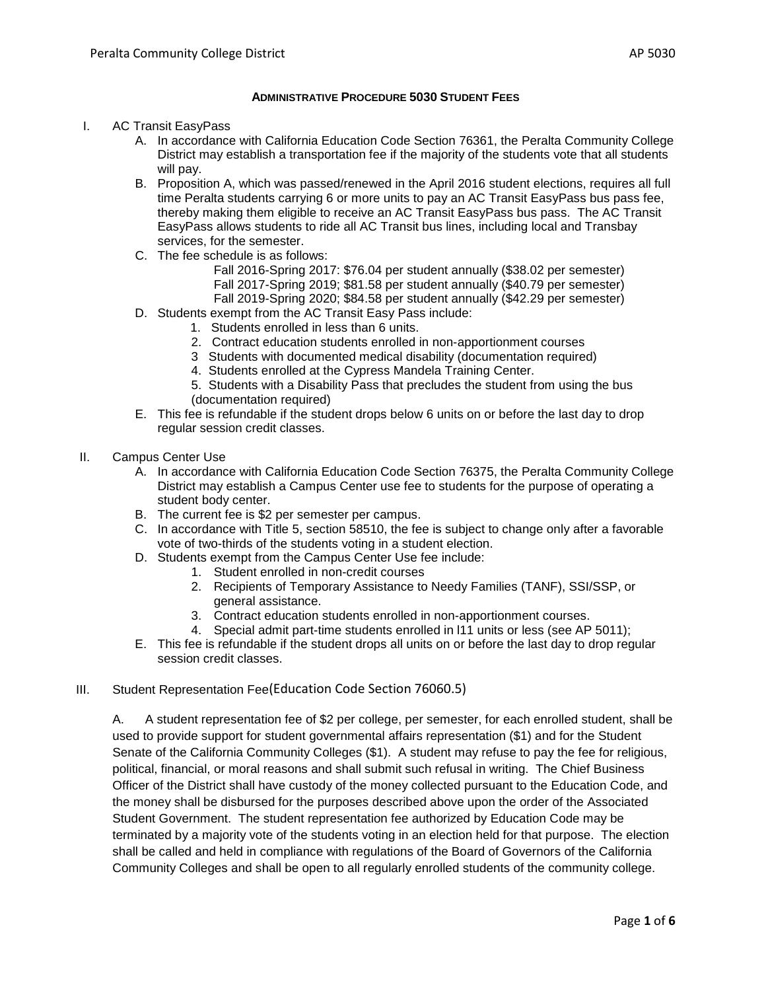## **ADMINISTRATIVE PROCEDURE 5030 STUDENT FEES**

- I. AC Transit EasyPass
	- A. In accordance with California Education Code Section 76361, the Peralta Community College District may establish a transportation fee if the majority of the students vote that all students will pay.
	- B. Proposition A, which was passed/renewed in the April 2016 student elections, requires all full time Peralta students carrying 6 or more units to pay an AC Transit EasyPass bus pass fee, thereby making them eligible to receive an AC Transit EasyPass bus pass. The AC Transit EasyPass allows students to ride all AC Transit bus lines, including local and Transbay services, for the semester.
	- C. The fee schedule is as follows:

Fall 2016-Spring 2017: \$76.04 per student annually (\$38.02 per semester) Fall 2017-Spring 2019; \$81.58 per student annually (\$40.79 per semester) Fall 2019-Spring 2020; \$84.58 per student annually (\$42.29 per semester)

- D. Students exempt from the AC Transit Easy Pass include:
	- 1. Students enrolled in less than 6 units.
	- 2. Contract education students enrolled in non-apportionment courses
	- 3 Students with documented medical disability (documentation required)
	- 4. Students enrolled at the Cypress Mandela Training Center.
	- 5. Students with a Disability Pass that precludes the student from using the bus (documentation required)
- E. This fee is refundable if the student drops below 6 units on or before the last day to drop regular session credit classes.
- II. Campus Center Use
	- A. In accordance with California Education Code Section 76375, the Peralta Community College District may establish a Campus Center use fee to students for the purpose of operating a student body center.
	- B. The current fee is \$2 per semester per campus.
	- C. In accordance with Title 5, section 58510, the fee is subject to change only after a favorable vote of two-thirds of the students voting in a student election.
	- D. Students exempt from the Campus Center Use fee include:
		- 1. Student enrolled in non-credit courses
			- 2. Recipients of Temporary Assistance to Needy Families (TANF), SSI/SSP, or general assistance.
			- 3. Contract education students enrolled in non-apportionment courses.
			- 4. Special admit part-time students enrolled in l11 units or less (see AP 5011);
	- E. This fee is refundable if the student drops all units on or before the last day to drop regular session credit classes.

# III. Student Representation Fee(Education Code Section 76060.5)

A. A student representation fee of \$2 per college, per semester, for each enrolled student, shall be used to provide support for student governmental affairs representation (\$1) and for the Student Senate of the California Community Colleges (\$1). A student may refuse to pay the fee for religious, political, financial, or moral reasons and shall submit such refusal in writing. The Chief Business Officer of the District shall have custody of the money collected pursuant to the Education Code, and the money shall be disbursed for the purposes described above upon the order of the Associated Student Government. The student representation fee authorized by Education Code may be terminated by a majority vote of the students voting in an election held for that purpose. The election shall be called and held in compliance with regulations of the Board of Governors of the California Community Colleges and shall be open to all regularly enrolled students of the community college.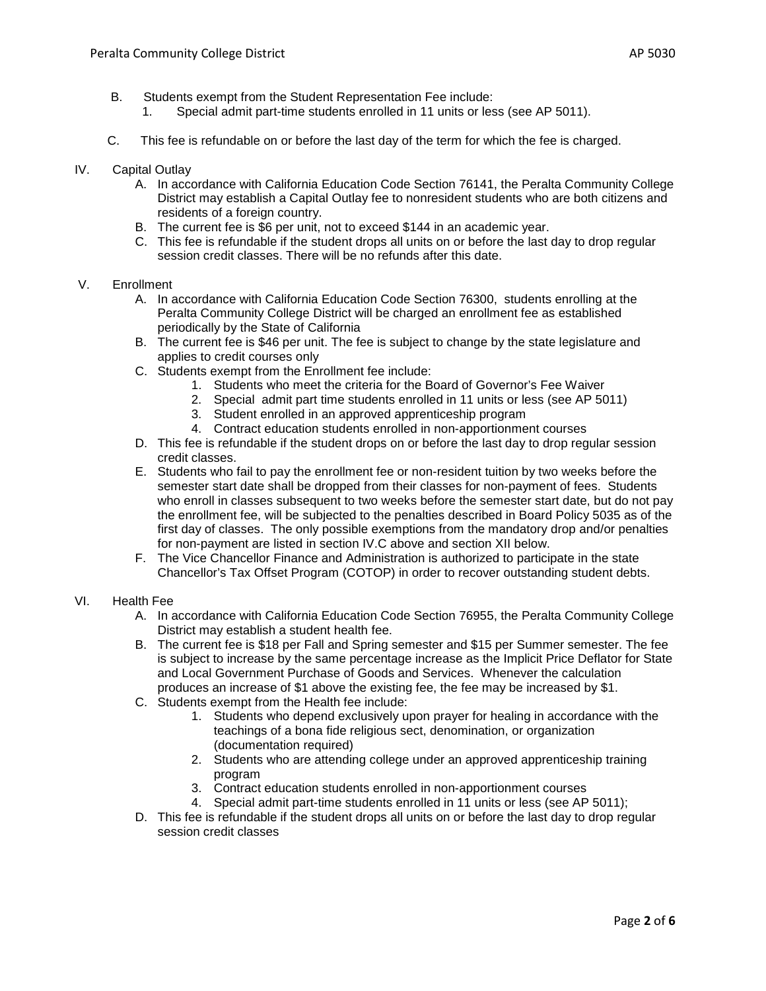- B. Students exempt from the Student Representation Fee include:
	- 1. Special admit part-time students enrolled in 11 units or less (see AP 5011).
- C. This fee is refundable on or before the last day of the term for which the fee is charged.
- IV. Capital Outlay
	- A. In accordance with California Education Code Section 76141, the Peralta Community College District may establish a Capital Outlay fee to nonresident students who are both citizens and residents of a foreign country.
	- B. The current fee is \$6 per unit, not to exceed \$144 in an academic year.
	- C. This fee is refundable if the student drops all units on or before the last day to drop regular session credit classes. There will be no refunds after this date.

### V. Enrollment

- A. In accordance with California Education Code Section 76300, students enrolling at the Peralta Community College District will be charged an enrollment fee as established periodically by the State of California
- B. The current fee is \$46 per unit. The fee is subject to change by the state legislature and applies to credit courses only
- C. Students exempt from the Enrollment fee include:
	- 1. Students who meet the criteria for the Board of Governor's Fee Waiver
	- 2. Special admit part time students enrolled in 11 units or less (see AP 5011)
	- 3. Student enrolled in an approved apprenticeship program
	- 4. Contract education students enrolled in non-apportionment courses
- D. This fee is refundable if the student drops on or before the last day to drop regular session credit classes.
- E. Students who fail to pay the enrollment fee or non-resident tuition by two weeks before the semester start date shall be dropped from their classes for non-payment of fees. Students who enroll in classes subsequent to two weeks before the semester start date, but do not pay the enrollment fee, will be subjected to the penalties described in Board Policy 5035 as of the first day of classes. The only possible exemptions from the mandatory drop and/or penalties for non-payment are listed in section IV.C above and section XII below.
- F. The Vice Chancellor Finance and Administration is authorized to participate in the state Chancellor's Tax Offset Program (COTOP) in order to recover outstanding student debts.

### VI. Health Fee

- A. In accordance with California Education Code Section 76955, the Peralta Community College District may establish a student health fee.
- B. The current fee is \$18 per Fall and Spring semester and \$15 per Summer semester. The fee is subject to increase by the same percentage increase as the Implicit Price Deflator for State and Local Government Purchase of Goods and Services. Whenever the calculation produces an increase of \$1 above the existing fee, the fee may be increased by \$1.
- C. Students exempt from the Health fee include:
	- 1. Students who depend exclusively upon prayer for healing in accordance with the teachings of a bona fide religious sect, denomination, or organization (documentation required)
	- 2. Students who are attending college under an approved apprenticeship training program
	- 3. Contract education students enrolled in non-apportionment courses
	- 4. Special admit part-time students enrolled in 11 units or less (see AP 5011);
- D. This fee is refundable if the student drops all units on or before the last day to drop regular session credit classes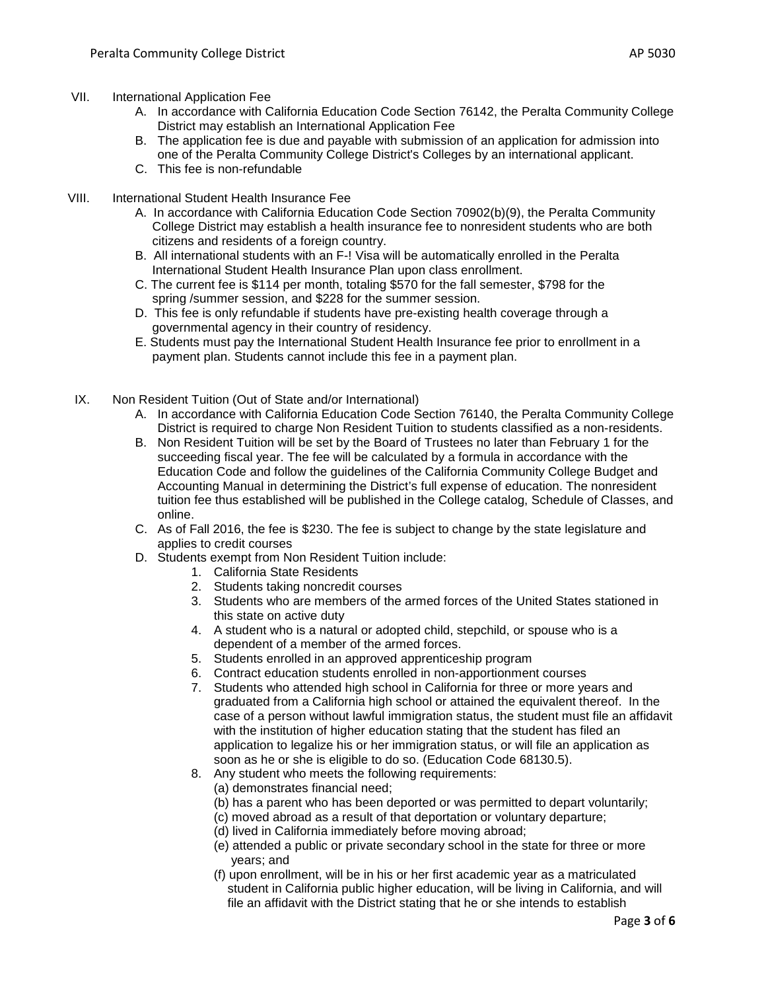- A. In accordance with California Education Code Section 76142, the Peralta Community College District may establish an International Application Fee
- B. The application fee is due and payable with submission of an application for admission into one of the Peralta Community College District's Colleges by an international applicant.
- C. This fee is non-refundable
- VIII. International Student Health Insurance Fee
	- A. In accordance with California Education Code Section 70902(b)(9), the Peralta Community College District may establish a health insurance fee to nonresident students who are both citizens and residents of a foreign country.
	- B. All international students with an F-! Visa will be automatically enrolled in the Peralta International Student Health Insurance Plan upon class enrollment.
	- C. The current fee is \$114 per month, totaling \$570 for the fall semester, \$798 for the spring /summer session, and \$228 for the summer session.
	- D. This fee is only refundable if students have pre-existing health coverage through a governmental agency in their country of residency.
	- E. Students must pay the International Student Health Insurance fee prior to enrollment in a payment plan. Students cannot include this fee in a payment plan.
- IX. Non Resident Tuition (Out of State and/or International)
	- A. In accordance with California Education Code Section 76140, the Peralta Community College District is required to charge Non Resident Tuition to students classified as a non-residents.
	- B. Non Resident Tuition will be set by the Board of Trustees no later than February 1 for the succeeding fiscal year. The fee will be calculated by a formula in accordance with the Education Code and follow the guidelines of the California Community College Budget and Accounting Manual in determining the District's full expense of education. The nonresident tuition fee thus established will be published in the College catalog, Schedule of Classes, and online.
	- C. As of Fall 2016, the fee is \$230. The fee is subject to change by the state legislature and applies to credit courses
	- D. Students exempt from Non Resident Tuition include:
		- 1. California State Residents
		- 2. Students taking noncredit courses
		- 3. Students who are members of the armed forces of the United States stationed in this state on active duty
		- 4. A student who is a natural or adopted child, stepchild, or spouse who is a dependent of a member of the armed forces.
		- 5. Students enrolled in an approved apprenticeship program
		- 6. Contract education students enrolled in non-apportionment courses
		- 7. Students who attended high school in California for three or more years and graduated from a California high school or attained the equivalent thereof. In the case of a person without lawful immigration status, the student must file an affidavit with the institution of higher education stating that the student has filed an application to legalize his or her immigration status, or will file an application as soon as he or she is eligible to do so. (Education Code 68130.5).
		- 8. Any student who meets the following requirements:
			- (a) demonstrates financial need;
			- (b) has a parent who has been deported or was permitted to depart voluntarily;
			- (c) moved abroad as a result of that deportation or voluntary departure;
			- (d) lived in California immediately before moving abroad;
			- (e) attended a public or private secondary school in the state for three or more years; and
			- (f) upon enrollment, will be in his or her first academic year as a matriculated student in California public higher education, will be living in California, and will file an affidavit with the District stating that he or she intends to establish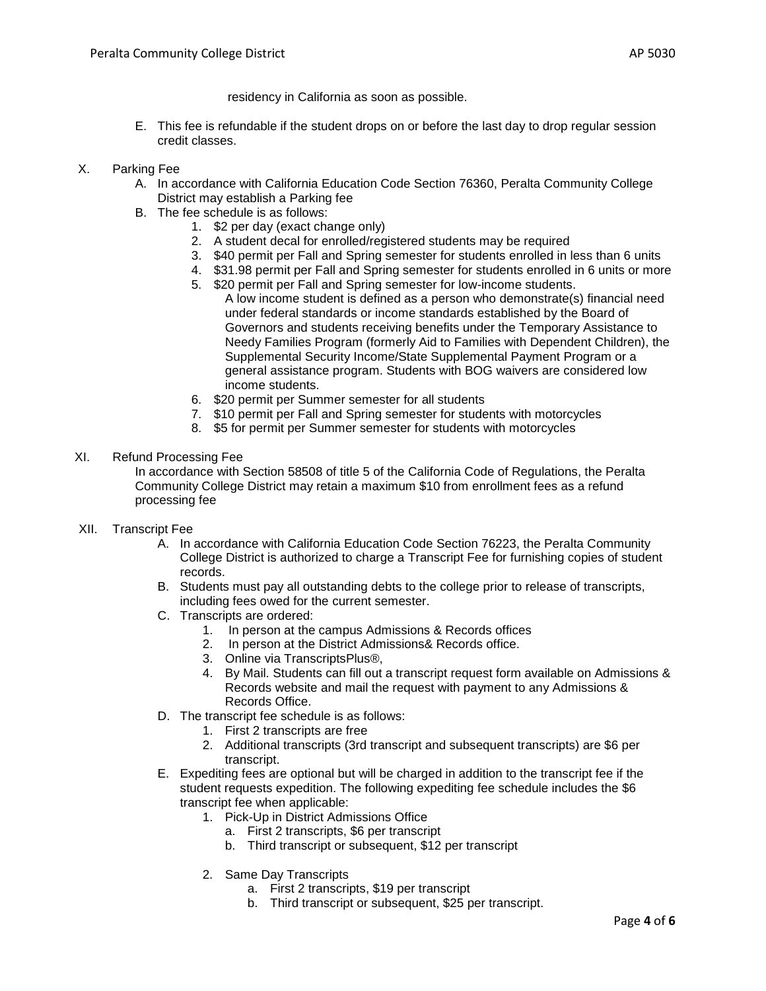residency in California as soon as possible.

- E. This fee is refundable if the student drops on or before the last day to drop regular session credit classes.
- X. Parking Fee
	- A. In accordance with California Education Code Section 76360, Peralta Community College District may establish a Parking fee
	- B. The fee schedule is as follows:
		- 1. \$2 per day (exact change only)
		- 2. A student decal for enrolled/registered students may be required
		- 3. \$40 permit per Fall and Spring semester for students enrolled in less than 6 units
		- 4. \$31.98 permit per Fall and Spring semester for students enrolled in 6 units or more
		- 5. \$20 permit per Fall and Spring semester for low-income students. A low income student is defined as a person who demonstrate(s) financial need under federal standards or income standards established by the Board of Governors and students receiving benefits under the Temporary Assistance to Needy Families Program (formerly Aid to Families with Dependent Children), the Supplemental Security Income/State Supplemental Payment Program or a general assistance program. Students with BOG waivers are considered low income students.
		- 6. \$20 permit per Summer semester for all students
		- 7. \$10 permit per Fall and Spring semester for students with motorcycles
		- 8. \$5 for permit per Summer semester for students with motorcycles

### XI. Refund Processing Fee

In accordance with Section 58508 of title 5 of the California Code of Regulations, the Peralta Community College District may retain a maximum \$10 from enrollment fees as a refund processing fee

- XII. Transcript Fee
	- A. In accordance with California Education Code Section 76223, the Peralta Community College District is authorized to charge a Transcript Fee for furnishing copies of student records.
	- B. Students must pay all outstanding debts to the college prior to release of transcripts, including fees owed for the current semester.
	- C. Transcripts are ordered:
		- 1. In person at the campus Admissions & Records offices
		- 2. In person at the District Admissions& Records office.
		- 3. Online via TranscriptsPlus®,
		- 4. By Mail. Students can fill out a transcript request form available on Admissions & Records website and mail the request with payment to any Admissions & Records Office.
	- D. The transcript fee schedule is as follows:
		- 1. First 2 transcripts are free
		- 2. Additional transcripts (3rd transcript and subsequent transcripts) are \$6 per transcript.
	- E. Expediting fees are optional but will be charged in addition to the transcript fee if the student requests expedition. The following expediting fee schedule includes the \$6 transcript fee when applicable:
		- 1. Pick-Up in District Admissions Office
			- a. First 2 transcripts, \$6 per transcript
			- b. Third transcript or subsequent, \$12 per transcript
		- 2. Same Day Transcripts
			- a. First 2 transcripts, \$19 per transcript
			- b. Third transcript or subsequent, \$25 per transcript.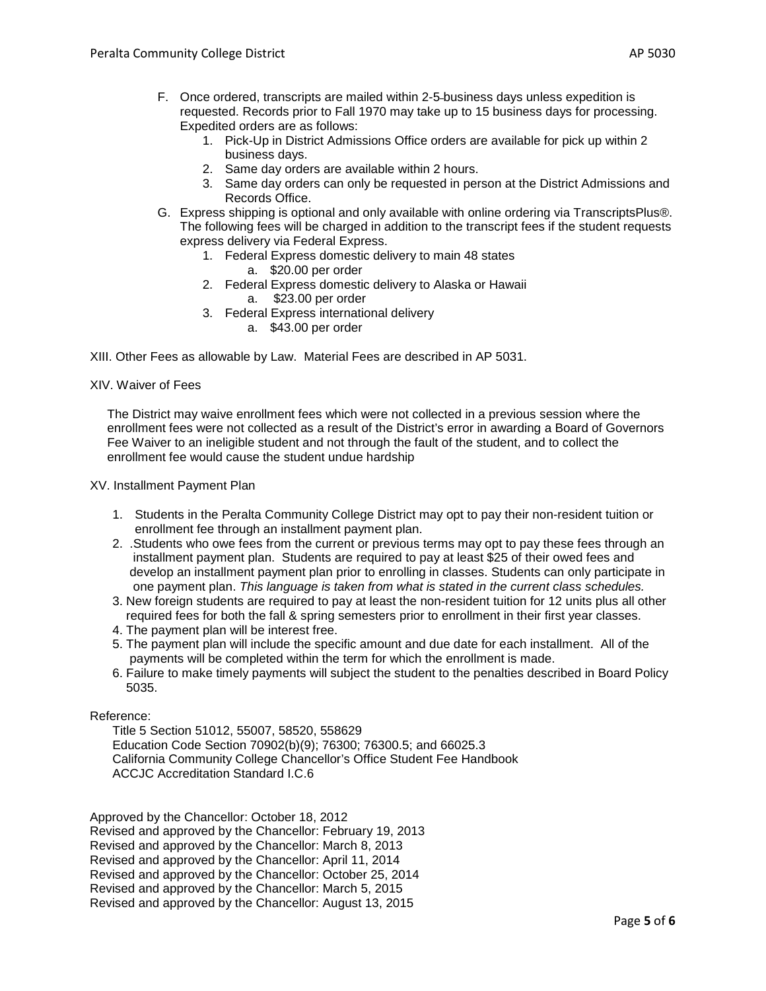- F. Once ordered, transcripts are mailed within 2-5 business days unless expedition is requested. Records prior to Fall 1970 may take up to 15 business days for processing. Expedited orders are as follows:
	- 1. Pick-Up in District Admissions Office orders are available for pick up within 2 business days.
	- 2. Same day orders are available within 2 hours.
	- 3. Same day orders can only be requested in person at the District Admissions and Records Office.
- G. Express shipping is optional and only available with online ordering via TranscriptsPlus®. The following fees will be charged in addition to the transcript fees if the student requests express delivery via Federal Express.
	- 1. Federal Express domestic delivery to main 48 states
		- a. \$20.00 per order
	- 2. Federal Express domestic delivery to Alaska or Hawaii
		- a. \$23.00 per order
	- 3. Federal Express international delivery
		- a. \$43.00 per order

XIII. Other Fees as allowable by Law. Material Fees are described in AP 5031.

XIV. Waiver of Fees

 The District may waive enrollment fees which were not collected in a previous session where the enrollment fees were not collected as a result of the District's error in awarding a Board of Governors Fee Waiver to an ineligible student and not through the fault of the student, and to collect the enrollment fee would cause the student undue hardship

XV. Installment Payment Plan

- 1. Students in the Peralta Community College District may opt to pay their non-resident tuition or enrollment fee through an installment payment plan.
- 2. .Students who owe fees from the current or previous terms may opt to pay these fees through an installment payment plan. Students are required to pay at least \$25 of their owed fees and develop an installment payment plan prior to enrolling in classes. Students can only participate in one payment plan. *This language is taken from what is stated in the current class schedules.*
- 3. New foreign students are required to pay at least the non-resident tuition for 12 units plus all other required fees for both the fall & spring semesters prior to enrollment in their first year classes.
- 4. The payment plan will be interest free.
- 5. The payment plan will include the specific amount and due date for each installment. All of the payments will be completed within the term for which the enrollment is made.
- 6. Failure to make timely payments will subject the student to the penalties described in Board Policy 5035.

### Reference:

Title 5 Section 51012, 55007, 58520, 558629 Education Code Section 70902(b)(9); 76300; 76300.5; and 66025.3 California Community College Chancellor's Office Student Fee Handbook ACCJC Accreditation Standard I.C.6

Approved by the Chancellor: October 18, 2012 Revised and approved by the Chancellor: February 19, 2013 Revised and approved by the Chancellor: March 8, 2013 Revised and approved by the Chancellor: April 11, 2014 Revised and approved by the Chancellor: October 25, 2014 Revised and approved by the Chancellor: March 5, 2015 Revised and approved by the Chancellor: August 13, 2015